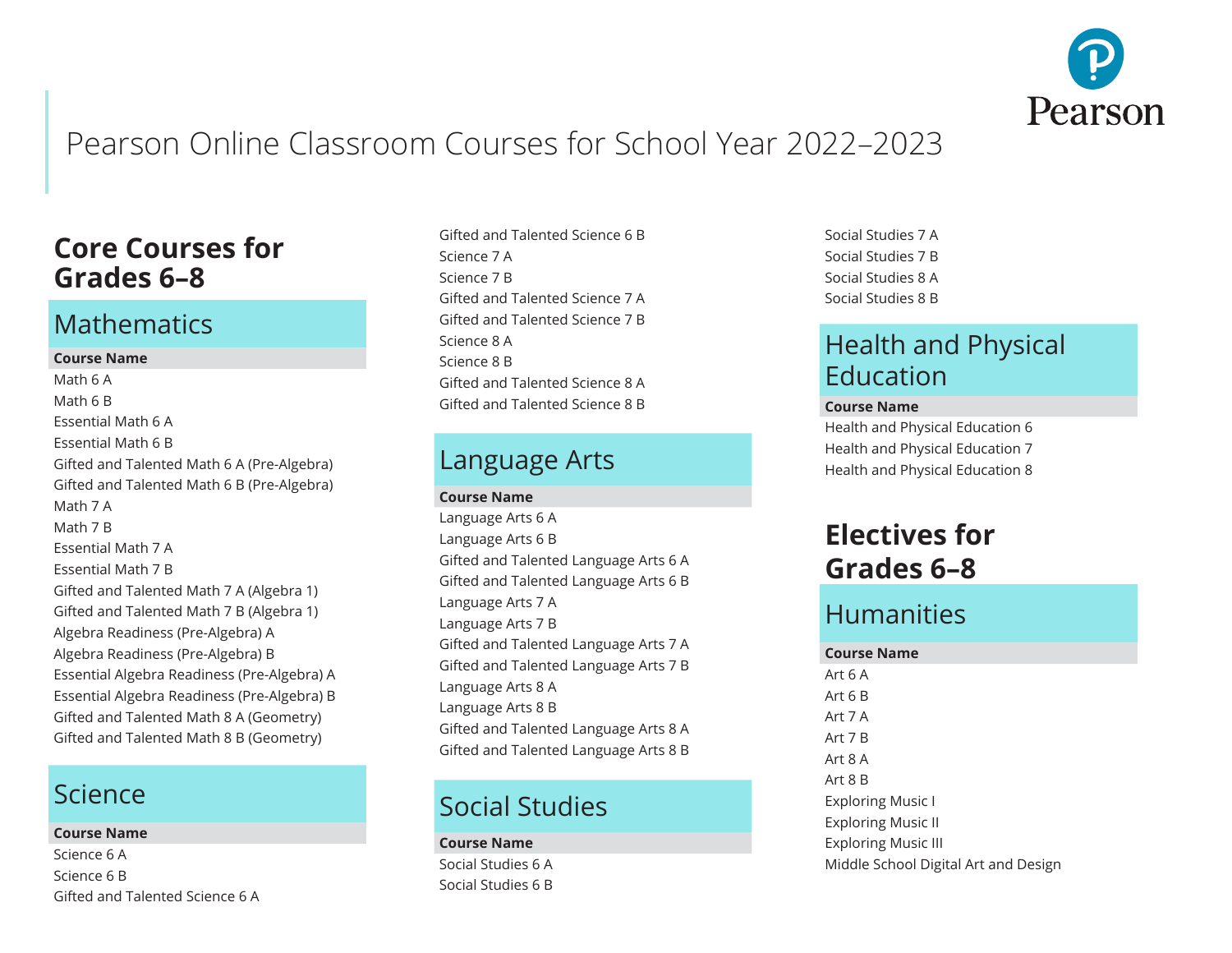

# Pearson Online Classroom Courses for School Year 2022–2023

## **Core Courses for Grades 6–8**

### **Mathematics**

#### **Course Name**

Math 6 A Math 6 B Essential Math 6 A Essential Math 6 B Gifted and Talented Math 6 A (Pre-Algebra) Gifted and Talented Math 6 B (Pre-Algebra) Math 7 A Math 7 B Essential Math 7 A Essential Math 7 B Gifted and Talented Math 7 A (Algebra 1) Gifted and Talented Math 7 B (Algebra 1) Algebra Readiness (Pre-Algebra) A Algebra Readiness (Pre-Algebra) B Essential Algebra Readiness (Pre-Algebra) A Essential Algebra Readiness (Pre-Algebra) B Gifted and Talented Math 8 A (Geometry) Gifted and Talented Math 8 B (Geometry)

### Science

#### **Course Name**

Science 6 A Science 6 B Gifted and Talented Science 6 A

Gifted and Talented Science 6 B Science 7 A Science 7 B Gifted and Talented Science 7 A Gifted and Talented Science 7 B Science 8 A Science 8 B Gifted and Talented Science 8 A Gifted and Talented Science 8 B

#### Language Arts

**Course Name**

Language Arts 6 A Language Arts 6 B Gifted and Talented Language Arts 6 A Gifted and Talented Language Arts 6 B Language Arts 7 A Language Arts 7 B Gifted and Talented Language Arts 7 A Gifted and Talented Language Arts 7 B Language Arts 8 A Language Arts 8 B Gifted and Talented Language Arts 8 A Gifted and Talented Language Arts 8 B

# Social Studies

#### **Course Name**

Social Studies 6 A Social Studies 6 B

Social Studies 7 A Social Studies 7 B Social Studies 8 A Social Studies 8 B

## Health and Physical Education

#### **Course Name**

Health and Physical Education 6 Health and Physical Education 7 Health and Physical Education 8

## **Electives for Grades 6–8**

## Humanities

#### **Course Name**

Art 6 A Art 6 B Art 7 A Art 7 B Art 8 A Art 8 B Exploring Music I Exploring Music II Exploring Music III Middle School Digital Art and Design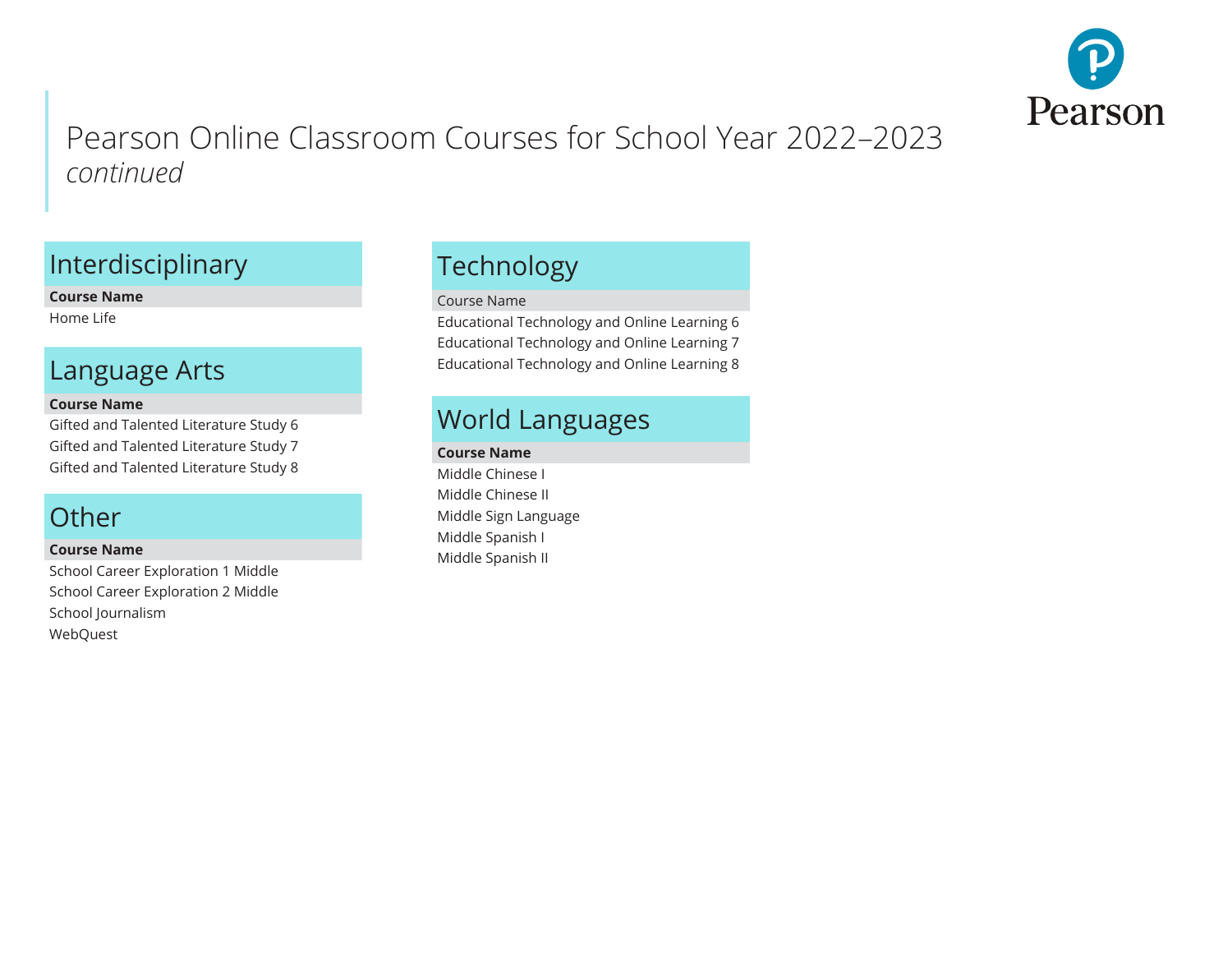

## Interdisciplinary

**Course Name**

Home Life

## Language Arts

#### **Course Name**

Gifted and Talented Literature Study 6 Gifted and Talented Literature Study 7 Gifted and Talented Literature Study 8

## **Other**

#### **Course Name**

School Career Exploration 1 Middle School Career Exploration 2 Middle School Journalism WebQuest

# Technology

#### Course Name

Educational Technology and Online Learning 6 Educational Technology and Online Learning 7 Educational Technology and Online Learning 8

## World Languages

#### **Course Name**

Middle Chinese I Middle Chinese II Middle Sign Language Middle Spanish I Middle Spanish II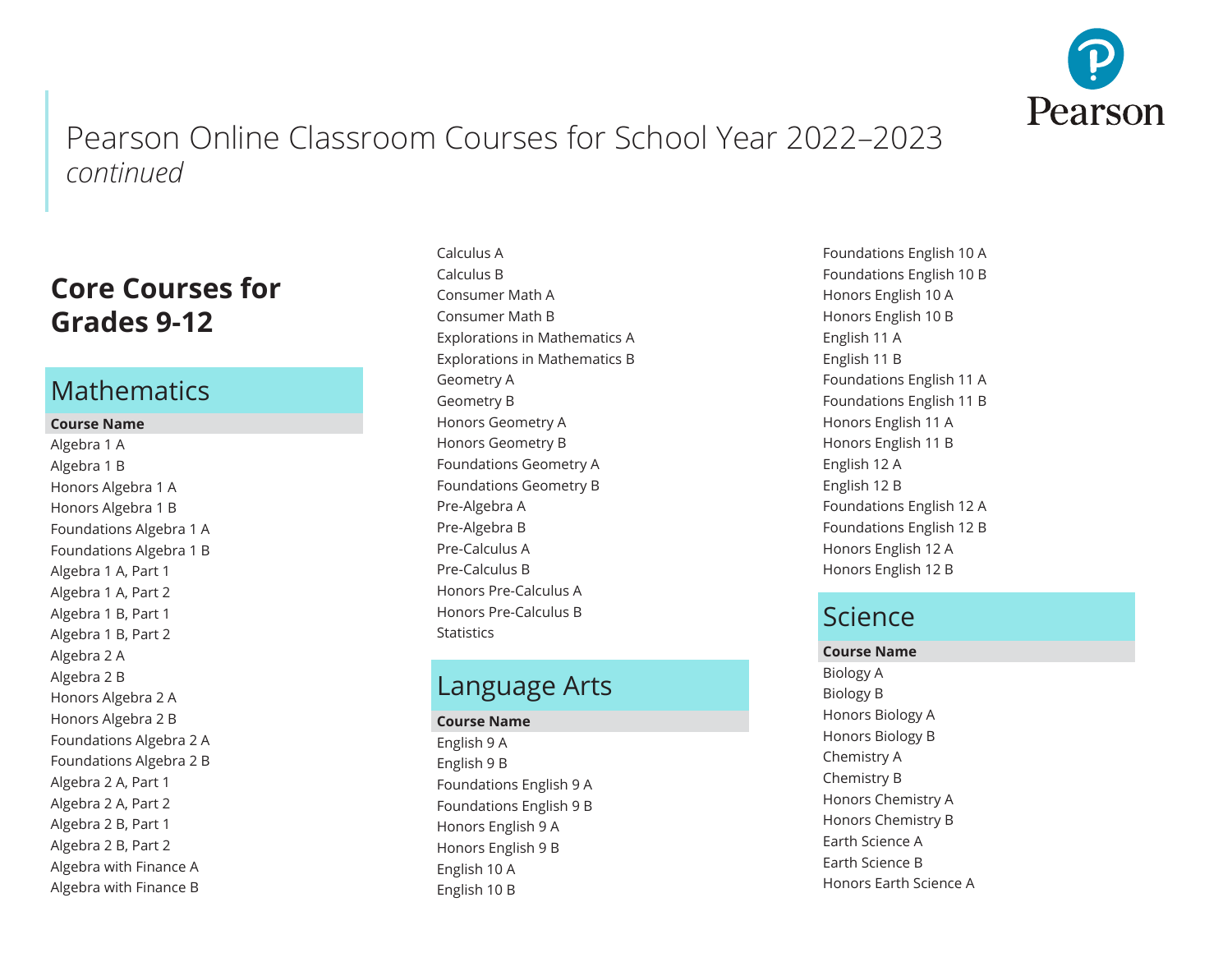

## **Core Courses for Grades 9-12**

#### **Mathematics**

#### **Course Name**

Algebra 1 A Algebra 1 B Honors Algebra 1 A Honors Algebra 1 B Foundations Algebra 1 A Foundations Algebra 1 B Algebra 1 A, Part 1 Algebra 1 A, Part 2 Algebra 1 B, Part 1 Algebra 1 B, Part 2 Algebra 2 A Algebra 2 B Honors Algebra 2 A Honors Algebra 2 B Foundations Algebra 2 A Foundations Algebra 2 B Algebra 2 A, Part 1 Algebra 2 A, Part 2 Algebra 2 B, Part 1 Algebra 2 B, Part 2 Algebra with Finance A Algebra with Finance B

Calculus A Calculus B Consumer Math A Consumer Math B Explorations in Mathematics A Explorations in Mathematics B Geometry A Geometry B Honors Geometry A Honors Geometry B Foundations Geometry A Foundations Geometry B Pre-Algebra A Pre-Algebra B Pre-Calculus A Pre-Calculus B Honors Pre-Calculus A Honors Pre-Calculus B **Statistics** 

#### Language Arts

#### **Course Name**

English 9 A English 9 B Foundations English 9 A Foundations English 9 B Honors English 9 A Honors English 9 B English 10 A English 10 B

Foundations English 10 A Foundations English 10 B Honors English 10 A Honors English 10 B English 11 A English 11 B Foundations English 11 A Foundations English 11 B Honors English 11 A Honors English 11 B English 12 A English 12 B Foundations English 12 A Foundations English 12 B Honors English 12 A Honors English 12 B

## Science

**Course Name** Biology A Biology B Honors Biology A Honors Biology B Chemistry A Chemistry B Honors Chemistry A Honors Chemistry B Earth Science A Earth Science B Honors Earth Science A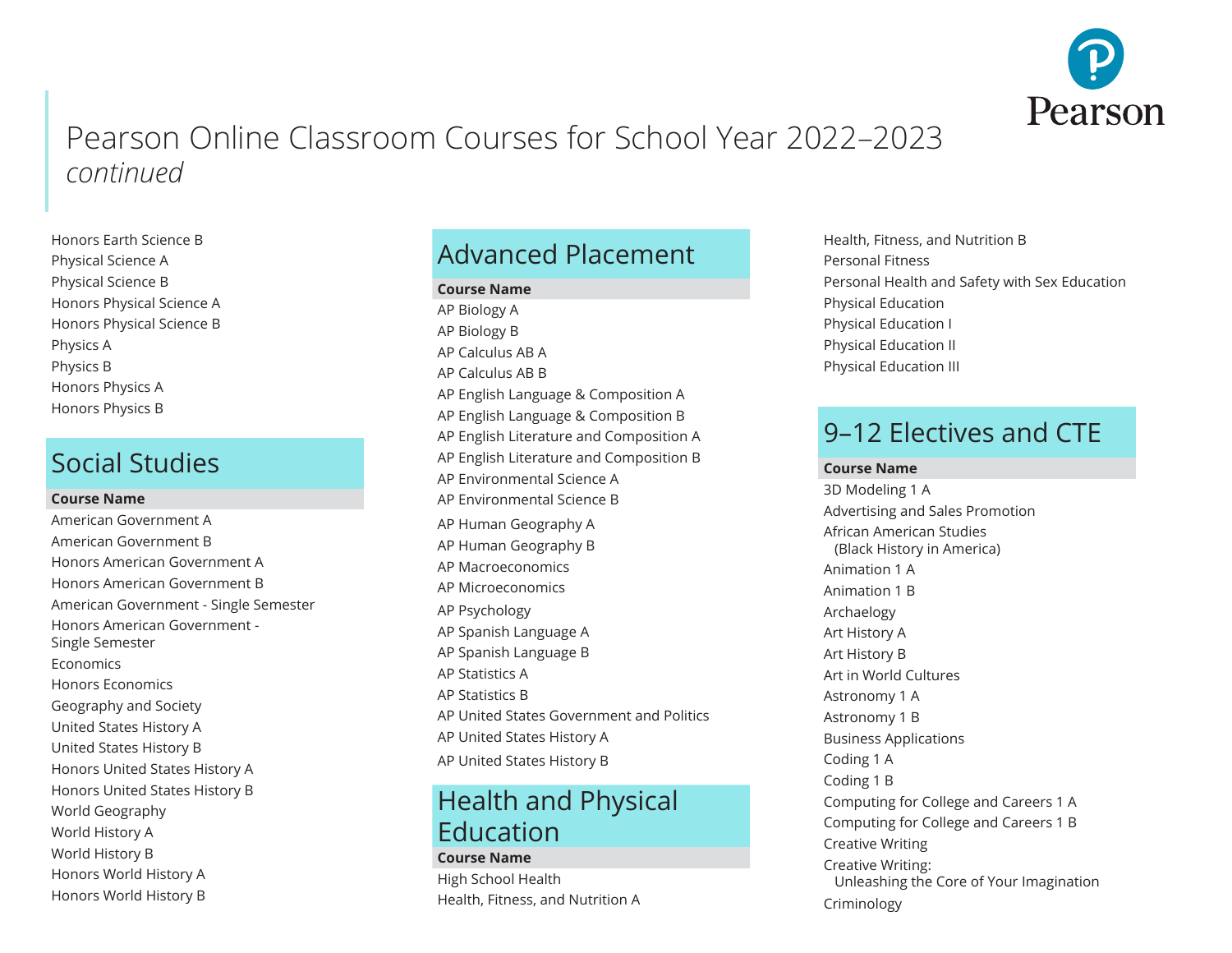

Honors Earth Science B Physical Science A Physical Science B Honors Physical Science A Honors Physical Science B Physics A Physics B Honors Physics A Honors Physics B

### Social Studies

#### **Course Name**

American Government A American Government B Honors American Government A Honors American Government B American Government - Single Semester Honors American Government - Single Semester **Economics** Honors Economics Geography and Society United States History A United States History B Honors United States History A Honors United States History B World Geography World History A World History B Honors World History A Honors World History B

## Advanced Placement

#### **Course Name**

AP Biology A AP Biology B AP Calculus AB A AP Calculus AB B AP English Language & Composition A AP English Language & Composition B AP English Literature and Composition A AP English Literature and Composition B AP Environmental Science A AP Environmental Science B AP Human Geography A AP Human Geography B AP Macroeconomics AP Microeconomics AP Psychology AP Spanish Language A AP Spanish Language B AP Statistics A AP Statistics B AP United States Government and Politics AP United States History A AP United States History B

### Health and Physical Education

#### **Course Name** High School Health Health, Fitness, and Nutrition A

Health, Fitness, and Nutrition B Personal Fitness Personal Health and Safety with Sex Education Physical Education Physical Education I Physical Education II Physical Education III

### 9–12 Electives and CTE

#### **Course Name**

3D Modeling 1 A Advertising and Sales Promotion African American Studies (Black History in America) Animation 1 A Animation 1 B Archaelogy Art History A Art History B Art in World Cultures Astronomy 1 A Astronomy 1 B Business Applications Coding 1 A Coding 1 B Computing for College and Careers 1 A Computing for College and Careers 1 B Creative Writing Creative Writing: Unleashing the Core of Your Imagination Criminology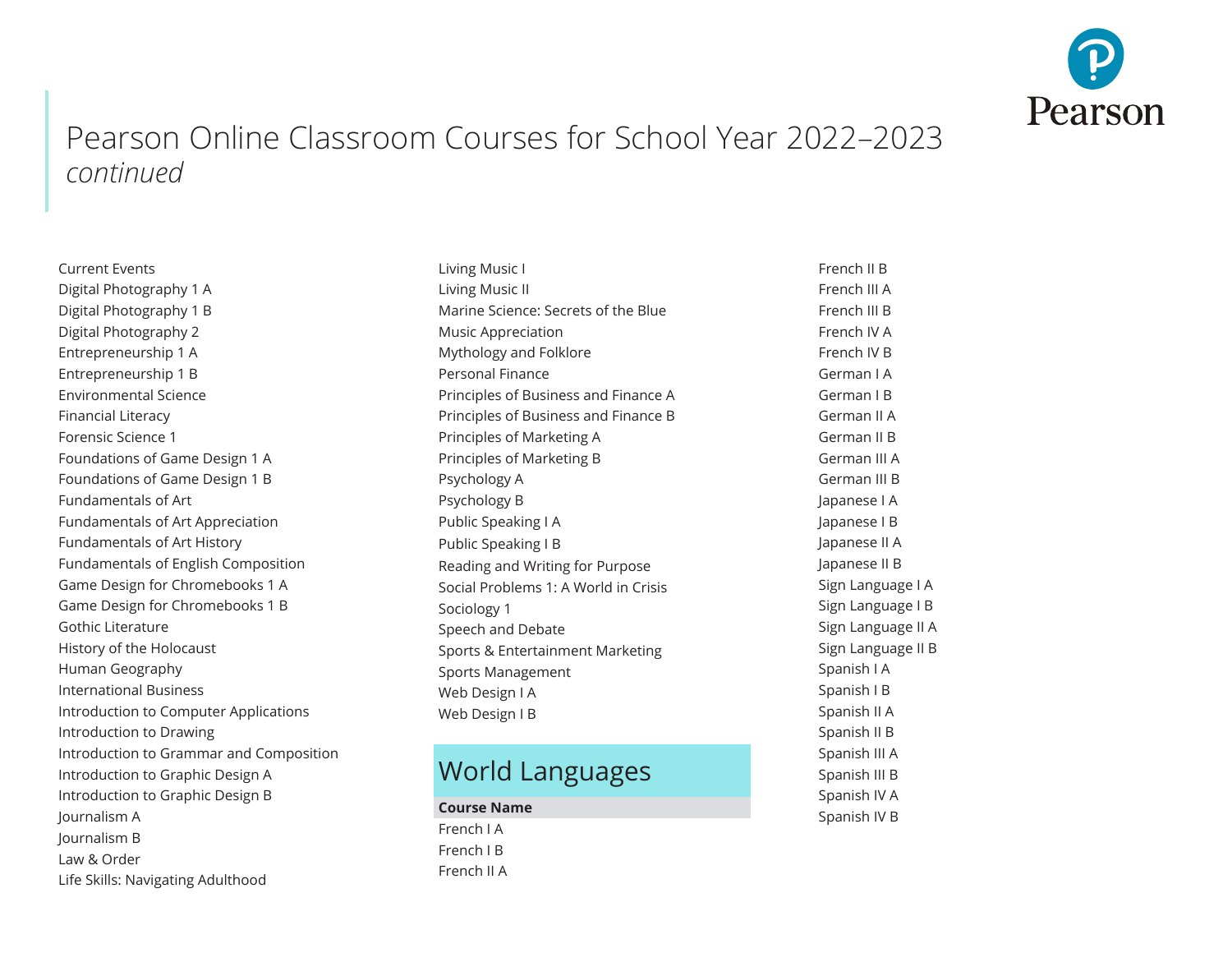

Current Events Digital Photography 1 A Digital Photography 1 B Digital Photography 2 Entrepreneurship 1 A Entrepreneurship 1 B Environmental Science Financial Literacy Forensic Science 1 Foundations of Game Design 1 A Foundations of Game Design 1 B Fundamentals of Art Fundamentals of Art Appreciation Fundamentals of Art History Fundamentals of English Composition Game Design for Chromebooks 1 A Game Design for Chromebooks 1 B Gothic Literature History of the Holocaust Human Geography International Business Introduction to Computer Applications Introduction to Drawing Introduction to Grammar and Composition Introduction to Graphic Design A Introduction to Graphic Design B Journalism A Journalism B Law & Order Life Skills: Navigating Adulthood

Living Music I Living Music II Marine Science: Secrets of the Blue Music Appreciation Mythology and Folklore Personal Finance Principles of Business and Finance A Principles of Business and Finance B Principles of Marketing A Principles of Marketing B Psychology A Psychology B Public Speaking I A Public Speaking I B Reading and Writing for Purpose Social Problems 1: A World in Crisis Sociology 1 Speech and Debate Sports & Entertainment Marketing Sports Management Web Design I A Web Design I B

## World Languages

**Course Name** French I A French I B French II A

French II B French III A French III B French IV A French IV B German I A German I B German II A German II B German III A German III B Japanese I A Japanese I B Japanese II A Japanese II B Sign Language I A Sign Language I B Sign Language II A Sign Language II B Spanish I A Spanish I B Spanish II A Spanish II B Spanish III A Spanish III B Spanish IV A Spanish IV B